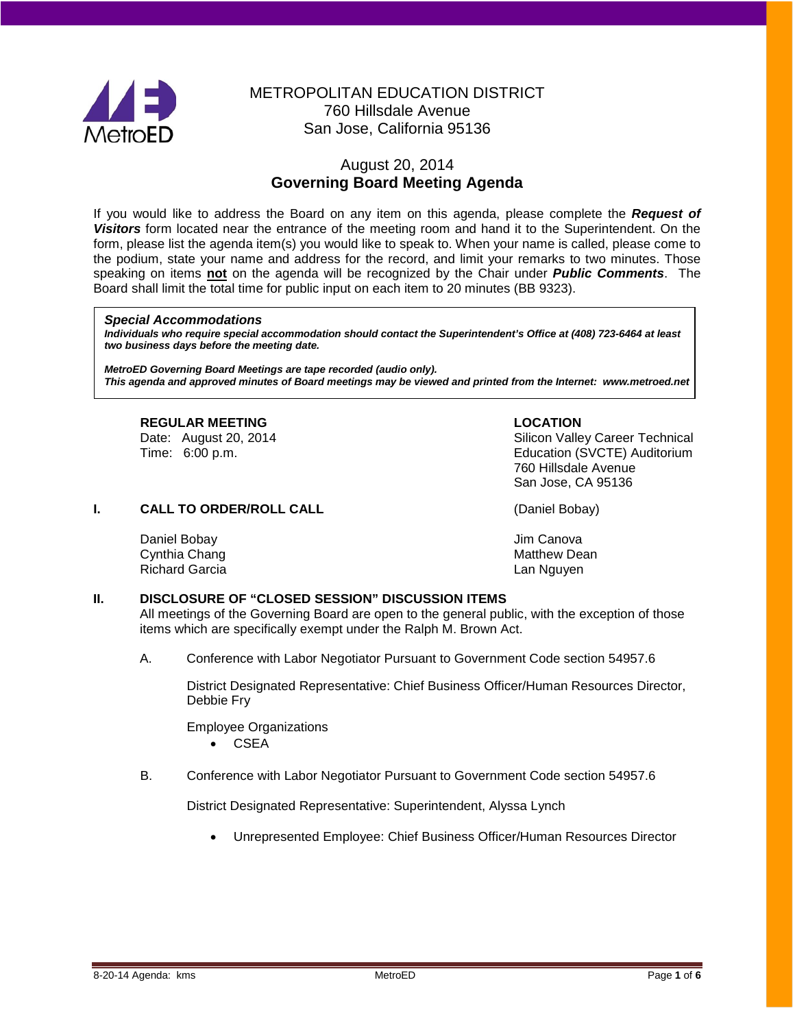

# METROPOLITAN EDUCATION DISTRICT 760 Hillsdale Avenue San Jose, California 95136

# August 20, 2014 **Governing Board Meeting Agenda**

If you would like to address the Board on any item on this agenda, please complete the *Request of Visitors* form located near the entrance of the meeting room and hand it to the Superintendent. On the form, please list the agenda item(s) you would like to speak to. When your name is called, please come to the podium, state your name and address for the record, and limit your remarks to two minutes. Those speaking on items **not** on the agenda will be recognized by the Chair under *Public Comments*. The Board shall limit the total time for public input on each item to 20 minutes (BB 9323).

#### *Special Accommodations*

*Individuals who require special accommodation should contact the Superintendent's Office at (408) 723-6464 at least two business days before the meeting date.*

*MetroED Governing Board Meetings are tape recorded (audio only). This agenda and approved minutes of Board meetings may be viewed and printed from the Internet: www.metroed.net*

# **REGULAR MEETING**<br>
Date: August 20, 2014 **COLORED ACTES**<br>
Silicon Valle

Silicon Valley Career Technical Time: 6:00 p.m. Education (SVCTE) Auditorium 760 Hillsdale Avenue San Jose, CA 95136

# **I. CALL TO ORDER/ROLL CALL CALL CALL** (Daniel Bobay)

Daniel Bobay **Daniel Bobay** Jim Canova Cynthia Chang Matthew Dean **Matthew Dean** Richard Garcia **Lan Nguyen** Lan Nguyen

# **II. DISCLOSURE OF "CLOSED SESSION" DISCUSSION ITEMS**

All meetings of the Governing Board are open to the general public, with the exception of those items which are specifically exempt under the Ralph M. Brown Act.

A. Conference with Labor Negotiator Pursuant to Government Code section 54957.6

District Designated Representative: Chief Business Officer/Human Resources Director, Debbie Fry

Employee Organizations • CSEA

B. Conference with Labor Negotiator Pursuant to Government Code section 54957.6

District Designated Representative: Superintendent, Alyssa Lynch

• Unrepresented Employee: Chief Business Officer/Human Resources Director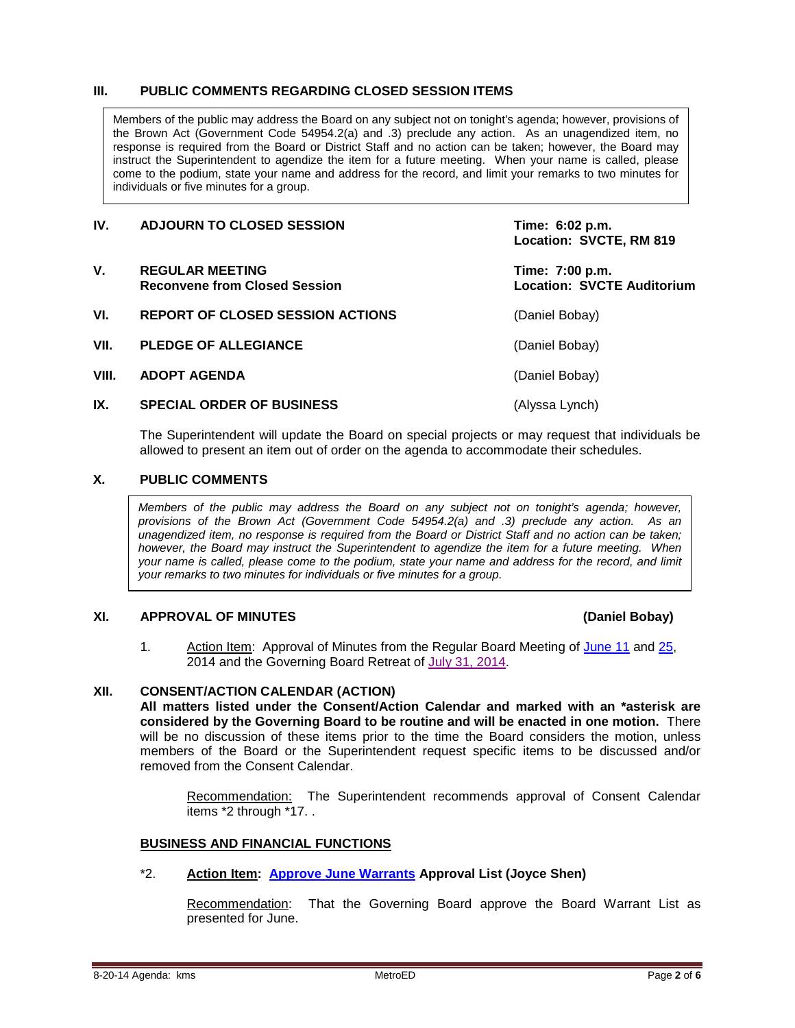# **III. PUBLIC COMMENTS REGARDING CLOSED SESSION ITEMS**

Members of the public may address the Board on any subject not on tonight's agenda; however, provisions of the Brown Act (Government Code 54954.2(a) and .3) preclude any action. As an unagendized item, no response is required from the Board or District Staff and no action can be taken; however, the Board may instruct the Superintendent to agendize the item for a future meeting. When your name is called, please come to the podium, state your name and address for the record, and limit your remarks to two minutes for individuals or five minutes for a group.

| IV.   | <b>ADJOURN TO CLOSED SESSION</b>                               | Time: 6:02 p.m.<br>Location: SVCTE, RM 819           |
|-------|----------------------------------------------------------------|------------------------------------------------------|
| V.    | <b>REGULAR MEETING</b><br><b>Reconvene from Closed Session</b> | Time: 7:00 p.m.<br><b>Location: SVCTE Auditorium</b> |
| VI.   | REPORT OF CLOSED SESSION ACTIONS                               | (Daniel Bobay)                                       |
| VII.  | <b>PLEDGE OF ALLEGIANCE</b>                                    | (Daniel Bobay)                                       |
| VIII. | <b>ADOPT AGENDA</b>                                            | (Daniel Bobay)                                       |
| IX.   | <b>SPECIAL ORDER OF BUSINESS</b>                               | (Alyssa Lynch)                                       |

The Superintendent will update the Board on special projects or may request that individuals be allowed to present an item out of order on the agenda to accommodate their schedules.

# **X. PUBLIC COMMENTS**

*Members of the public may address the Board on any subject not on tonight's agenda; however, provisions of the Brown Act (Government Code 54954.2(a) and .3) preclude any action. As an unagendized item, no response is required from the Board or District Staff and no action can be taken; however, the Board may instruct the Superintendent to agendize the item for a future meeting. When your name is called, please come to the podium, state your name and address for the record, and limit your remarks to two minutes for individuals or five minutes for a group.*

# **XI. APPROVAL OF MINUTES (Daniel Bobay)**

1. Action Item: Approval of Minutes from the Regular Board Meeting of [June 11](http://fbsd.metroed.net/ksmith/Board_Agenda/08-20-14BoardAgenda/Item-01_06-11-14BoardMinutes.pdf) and [25,](http://fbsd.metroed.net/ksmith/Board_Agenda/08-20-14BoardAgenda/Item-01_06-25-14BoardMinutes.pdf) 2014 and the Governing Board Retreat of [July 31, 2014.](http://fbsd.metroed.net/ksmith/Board_Agenda/08-20-14BoardAgenda/Item-01_07-31-14BoardRetreatMinutes.pdf)

# **XII. CONSENT/ACTION CALENDAR (ACTION)**

**All matters listed under the Consent/Action Calendar and marked with an \*asterisk are considered by the Governing Board to be routine and will be enacted in one motion.** There will be no discussion of these items prior to the time the Board considers the motion, unless members of the Board or the Superintendent request specific items to be discussed and/or removed from the Consent Calendar.

Recommendation: The Superintendent recommends approval of Consent Calendar items \*2 through \*17. .

# **BUSINESS AND FINANCIAL FUNCTIONS**

# \*2. **Action Item: [Approve June Warrants](http://fbsd.metroed.net/ksmith/Board_Agenda/08-20-14BoardAgenda/Item-02.pdf) Approval List (Joyce Shen)**

Recommendation: That the Governing Board approve the Board Warrant List as presented for June.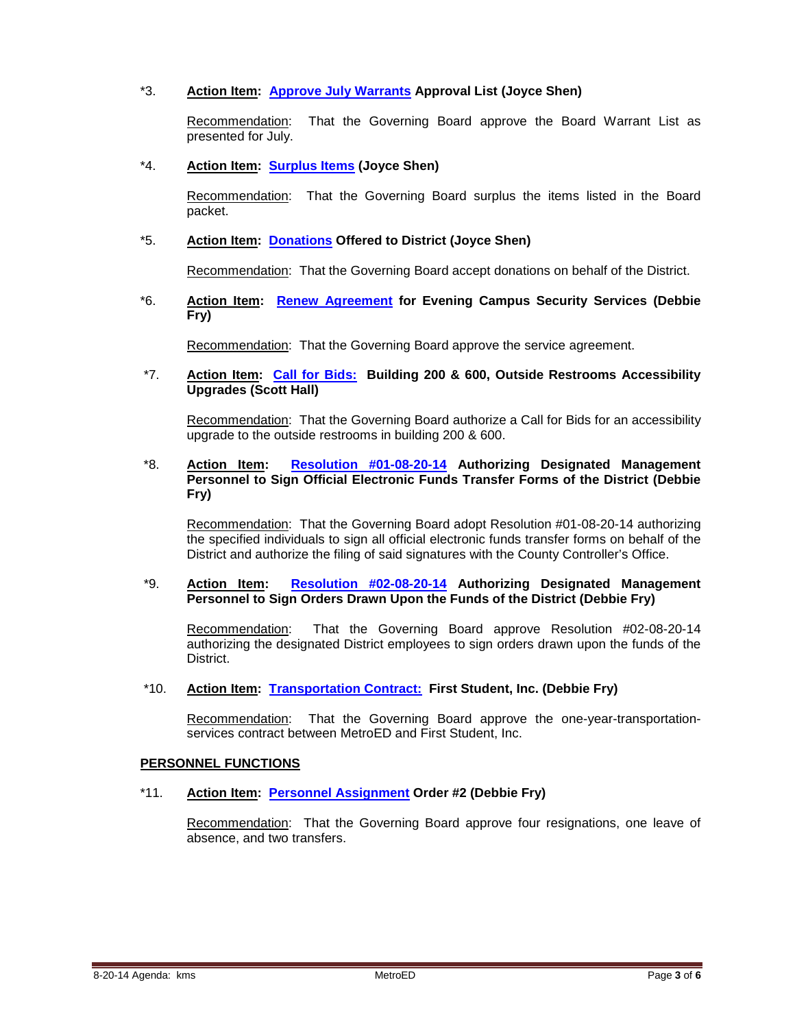# \*3. **Action Item: [Approve July Warrants](http://fbsd.metroed.net/ksmith/Board_Agenda/08-20-14BoardAgenda/Item-03.pdf) Approval List (Joyce Shen)**

Recommendation: That the Governing Board approve the Board Warrant List as presented for July.

# \*4. **Action Item: [Surplus Items](http://fbsd.metroed.net/ksmith/Board_Agenda/08-20-14BoardAgenda/Item-04.pdf) (Joyce Shen)**

Recommendation: That the Governing Board surplus the items listed in the Board packet.

## \*5. **Action Item: [Donations](http://fbsd.metroed.net/ksmith/Board_Agenda/08-20-14BoardAgenda/Item-05.pdf) Offered to District (Joyce Shen)**

Recommendation: That the Governing Board accept donations on behalf of the District.

\*6. **Action Item: [Renew Agreement](http://fbsd.metroed.net/ksmith/Board_Agenda/08-20-14BoardAgenda/Item-06.pdf) for Evening Campus Security Services (Debbie Fry)**

Recommendation: That the Governing Board approve the service agreement.

## \*7. **Action Item: [Call for Bids:](http://fbsd.metroed.net/ksmith/Board_Agenda/08-20-14BoardAgenda/Item-07.pdf) Building 200 & 600, Outside Restrooms Accessibility Upgrades (Scott Hall)**

Recommendation: That the Governing Board authorize a Call for Bids for an accessibility upgrade to the outside restrooms in building 200 & 600.

# \*8. **Action Item: [Resolution #01-08-20-14](http://fbsd.metroed.net/ksmith/Board_Agenda/08-20-14BoardAgenda/Item-08.pdf) Authorizing Designated Management Personnel to Sign Official Electronic Funds Transfer Forms of the District (Debbie Fry)**

Recommendation: That the Governing Board adopt Resolution #01-08-20-14 authorizing the specified individuals to sign all official electronic funds transfer forms on behalf of the District and authorize the filing of said signatures with the County Controller's Office.

# \*9. **Action Item: [Resolution #02-08-20-14](http://fbsd.metroed.net/ksmith/Board_Agenda/08-20-14BoardAgenda/Item-09.pdf) Authorizing Designated Management Personnel to Sign Orders Drawn Upon the Funds of the District (Debbie Fry)**

Recommendation: That the Governing Board approve Resolution #02-08-20-14 authorizing the designated District employees to sign orders drawn upon the funds of the District.

#### \*10. **Action Item: [Transportation Contract:](http://fbsd.metroed.net/ksmith/Board_Agenda/08-20-14BoardAgenda/Item-10.pdf) First Student, Inc. (Debbie Fry)**

Recommendation: That the Governing Board approve the one-year-transportationservices contract between MetroED and First Student, Inc.

#### **PERSONNEL FUNCTIONS**

# \*11. **Action Item: [Personnel Assignment](http://fbsd.metroed.net/ksmith/Board_Agenda/08-20-14BoardAgenda/Item-11.pdf) Order #2 (Debbie Fry)**

Recommendation: That the Governing Board approve four resignations, one leave of absence, and two transfers.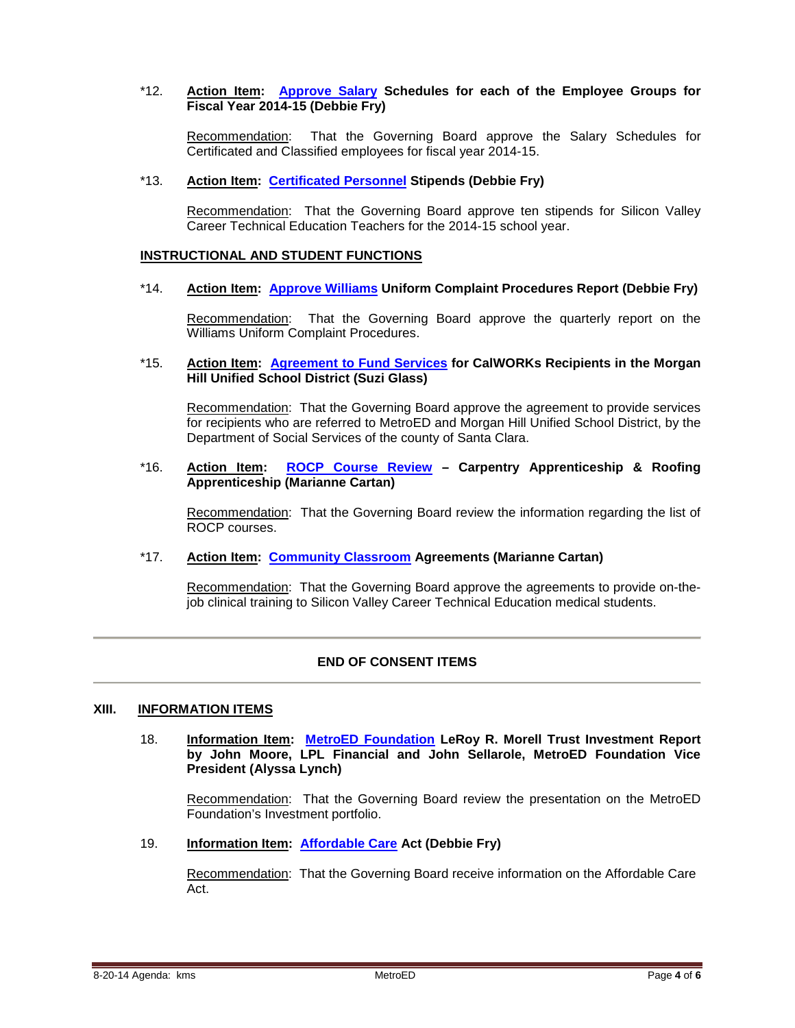# \*12. **Action Item: [Approve Salary](http://fbsd.metroed.net/ksmith/Board_Agenda/08-20-14BoardAgenda/Item-12.pdf) Schedules for each of the Employee Groups for Fiscal Year 2014-15 (Debbie Fry)**

Recommendation: That the Governing Board approve the Salary Schedules for Certificated and Classified employees for fiscal year 2014-15.

# \*13. **Action Item: [Certificated Personnel](http://fbsd.metroed.net/ksmith/Board_Agenda/08-20-14BoardAgenda/Item-13.pdf) Stipends (Debbie Fry)**

Recommendation: That the Governing Board approve ten stipends for Silicon Valley Career Technical Education Teachers for the 2014-15 school year.

#### **INSTRUCTIONAL AND STUDENT FUNCTIONS**

#### \*14. **Action Item: [Approve Williams](http://fbsd.metroed.net/ksmith/Board_Agenda/08-20-14BoardAgenda/Item-14.pdf) Uniform Complaint Procedures Report (Debbie Fry)**

Recommendation: That the Governing Board approve the quarterly report on the Williams Uniform Complaint Procedures.

\*15. **Action Item: [Agreement to Fund Services](http://fbsd.metroed.net/ksmith/Board_Agenda/08-20-14BoardAgenda/Item-15.pdf) for CalWORKs Recipients in the Morgan Hill Unified School District (Suzi Glass)**

Recommendation: That the Governing Board approve the agreement to provide services for recipients who are referred to MetroED and Morgan Hill Unified School District, by the Department of Social Services of the county of Santa Clara.

\*16. **Action Item: [ROCP Course Review](http://fbsd.metroed.net/ksmith/Board_Agenda/08-20-14BoardAgenda/Item-16.pdf) – Carpentry Apprenticeship & Roofing Apprenticeship (Marianne Cartan)**

Recommendation: That the Governing Board review the information regarding the list of ROCP courses.

# \*17. **Action Item: [Community Classroom](http://fbsd.metroed.net/ksmith/Board_Agenda/08-20-14BoardAgenda/Item-17.pdf) Agreements (Marianne Cartan)**

Recommendation: That the Governing Board approve the agreements to provide on-thejob clinical training to Silicon Valley Career Technical Education medical students.

# **END OF CONSENT ITEMS**

#### **XIII. INFORMATION ITEMS**

18. **Information Item: [MetroED Foundation](http://fbsd.metroed.net/ksmith/Board_Agenda/08-20-14BoardAgenda/Item-18.pdf) LeRoy R. Morell Trust Investment Report by John Moore, LPL Financial and John Sellarole, MetroED Foundation Vice President (Alyssa Lynch)**

Recommendation: That the Governing Board review the presentation on the MetroED Foundation's Investment portfolio.

19. **Information Item: [Affordable Care](http://fbsd.metroed.net/ksmith/Board_Agenda/08-20-14BoardAgenda/Item-19.pdf) Act (Debbie Fry)**

Recommendation: That the Governing Board receive information on the Affordable Care Act.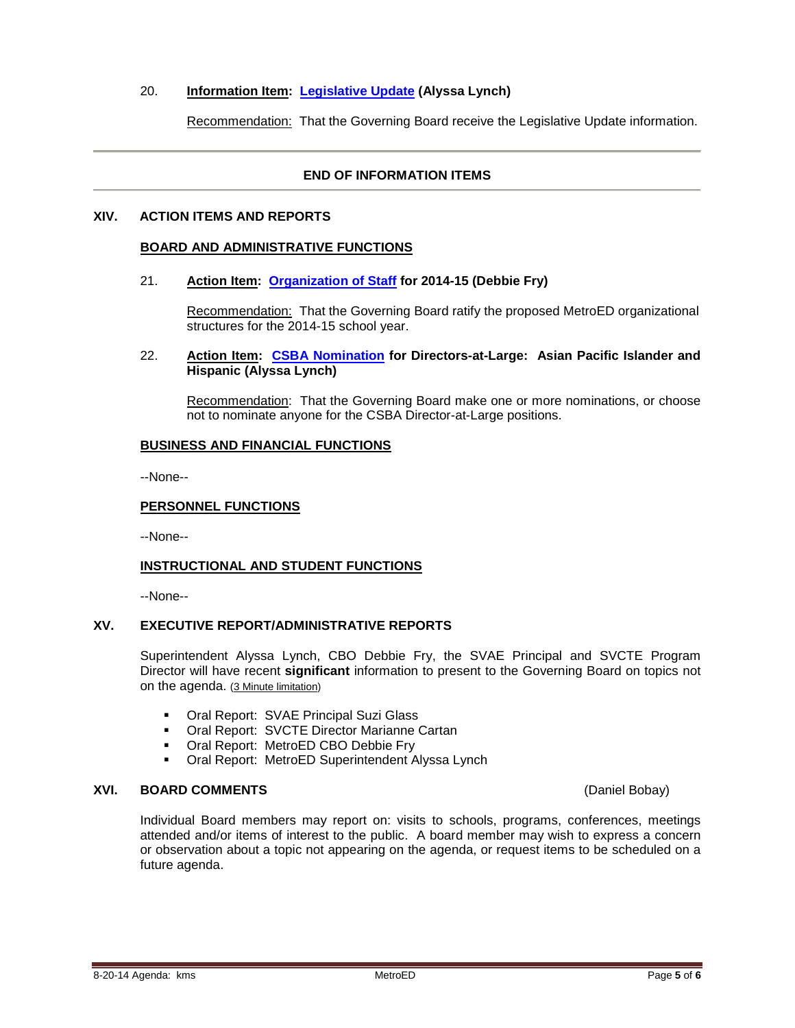# 20. **Information Item: [Legislative Update](http://fbsd.metroed.net/ksmith/Board_Agenda/08-20-14BoardAgenda/Item-20.pdf) (Alyssa Lynch)**

Recommendation: That the Governing Board receive the Legislative Update information.

# **END OF INFORMATION ITEMS**

## **XIV. ACTION ITEMS AND REPORTS**

## **BOARD AND ADMINISTRATIVE FUNCTIONS**

#### 21. **Action Item: [Organization of Staff](http://fbsd.metroed.net/ksmith/Board_Agenda/08-20-14BoardAgenda/Item-21.pdf) for 2014-15 (Debbie Fry)**

Recommendation: That the Governing Board ratify the proposed MetroED organizational structures for the 2014-15 school year.

## 22. **Action Item: [CSBA Nomination](http://fbsd.metroed.net/ksmith/Board_Agenda/08-20-14BoardAgenda/Item-22.pdf) for Directors-at-Large: Asian Pacific Islander and Hispanic (Alyssa Lynch)**

Recommendation: That the Governing Board make one or more nominations, or choose not to nominate anyone for the CSBA Director-at-Large positions.

#### **BUSINESS AND FINANCIAL FUNCTIONS**

--None--

# **PERSONNEL FUNCTIONS**

--None--

# **INSTRUCTIONAL AND STUDENT FUNCTIONS**

--None--

# **XV. EXECUTIVE REPORT/ADMINISTRATIVE REPORTS**

Superintendent Alyssa Lynch, CBO Debbie Fry, the SVAE Principal and SVCTE Program Director will have recent **significant** information to present to the Governing Board on topics not on the agenda. (3 Minute limitation)

- **Oral Report: SVAE Principal Suzi Glass**
- **Oral Report: SVCTE Director Marianne Cartan**
- **Oral Report: MetroED CBO Debbie Fry**
- **Oral Report: MetroED Superintendent Alyssa Lynch**

# **XVI. BOARD COMMENTS** (Daniel Bobay)

Individual Board members may report on: visits to schools, programs, conferences, meetings attended and/or items of interest to the public. A board member may wish to express a concern or observation about a topic not appearing on the agenda, or request items to be scheduled on a future agenda.

8-20-14 Agenda: kms **MetroED** Page **5** of **6**